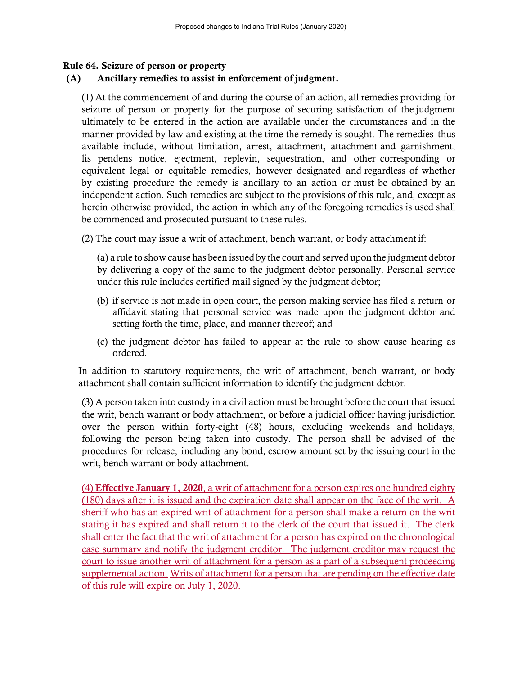## Rule 64. Seizure of person or property

## (A) Ancillary remedies to assist in enforcement of judgment.

(1) At the commencement of and during the course of an action, all remedies providing for seizure of person or property for the purpose of securing satisfaction of the judgment ultimately to be entered in the action are available under the circumstances and in the manner provided by law and existing at the time the remedy is sought. The remedies thus available include, without limitation, arrest, attachment, attachment and garnishment, lis pendens notice, ejectment, replevin, sequestration, and other corresponding or equivalent legal or equitable remedies, however designated and regardless of whether by existing procedure the remedy is ancillary to an action or must be obtained by an independent action. Such remedies are subject to the provisions of this rule, and, except as herein otherwise provided, the action in which any of the foregoing remedies is used shall be commenced and prosecuted pursuant to these rules.

(2) The court may issue a writ of attachment, bench warrant, or body attachment if:

(a) a rule to show cause has been issued by the court and served upon the judgment debtor by delivering a copy of the same to the judgment debtor personally. Personal service under this rule includes certified mail signed by the judgment debtor;

- (b) if service is not made in open court, the person making service has filed a return or affidavit stating that personal service was made upon the judgment debtor and setting forth the time, place, and manner thereof; and
- (c) the judgment debtor has failed to appear at the rule to show cause hearing as ordered.

In addition to statutory requirements, the writ of attachment, bench warrant, or body attachment shall contain sufficient information to identify the judgment debtor.

(3) A person taken into custody in a civil action must be brought before the court that issued the writ, bench warrant or body attachment, or before a judicial officer having jurisdiction over the person within forty-eight (48) hours, excluding weekends and holidays, following the person being taken into custody. The person shall be advised of the procedures for release, including any bond, escrow amount set by the issuing court in the writ, bench warrant or body attachment.

(4) Effective January 1, 2020, a writ of attachment for a person expires one hundred eighty (180) days after it is issued and the expiration date shall appear on the face of the writ. A sheriff who has an expired writ of attachment for a person shall make a return on the writ stating it has expired and shall return it to the clerk of the court that issued it. The clerk shall enter the fact that the writ of attachment for a person has expired on the chronological case summary and notify the judgment creditor. The judgment creditor may request the court to issue another writ of attachment for a person as a part of a subsequent proceeding supplemental action. Writs of attachment for a person that are pending on the effective date of this rule will expire on July 1, 2020.